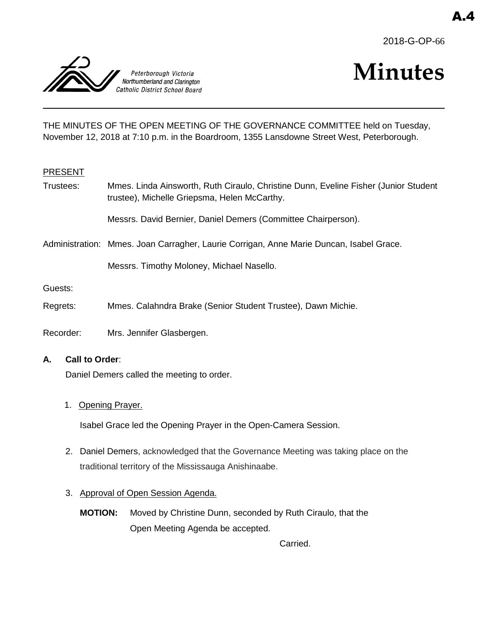



# **Minutes**

THE MINUTES OF THE OPEN MEETING OF THE GOVERNANCE COMMITTEE held on Tuesday, November 12, 2018 at 7:10 p.m. in the Boardroom, 1355 Lansdowne Street West, Peterborough.

#### PRESENT

Trustees: Mmes. Linda Ainsworth, Ruth Ciraulo, Christine Dunn, Eveline Fisher (Junior Student trustee), Michelle Griepsma, Helen McCarthy.

Messrs. David Bernier, Daniel Demers (Committee Chairperson).

Administration: Mmes. Joan Carragher, Laurie Corrigan, Anne Marie Duncan, Isabel Grace.

Messrs. Timothy Moloney, Michael Nasello.

Guests:

- Regrets: Mmes. Calahndra Brake (Senior Student Trustee), Dawn Michie.
- Recorder: Mrs. Jennifer Glasbergen.

#### **A. Call to Order**:

Daniel Demers called the meeting to order.

1. Opening Prayer.

Isabel Grace led the Opening Prayer in the Open-Camera Session.

- 2. Daniel Demers, acknowledged that the Governance Meeting was taking place on the traditional territory of the Mississauga Anishinaabe.
- 3. Approval of Open Session Agenda.
	- **MOTION:** Moved by Christine Dunn, seconded by Ruth Ciraulo, that the Open Meeting Agenda be accepted.

Carried.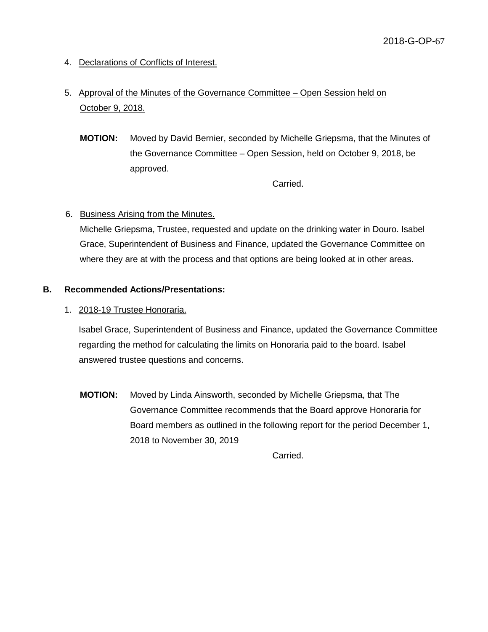- 4. Declarations of Conflicts of Interest.
- 5. Approval of the Minutes of the Governance Committee Open Session held on October 9, 2018.
	- **MOTION:** Moved by David Bernier, seconded by Michelle Griepsma, that the Minutes of the Governance Committee – Open Session, held on October 9, 2018, be approved.

Carried.

# 6. Business Arising from the Minutes.

Michelle Griepsma, Trustee, requested and update on the drinking water in Douro. Isabel Grace, Superintendent of Business and Finance, updated the Governance Committee on where they are at with the process and that options are being looked at in other areas.

#### **B. Recommended Actions/Presentations:**

1. 2018-19 Trustee Honoraria.

Isabel Grace, Superintendent of Business and Finance, updated the Governance Committee regarding the method for calculating the limits on Honoraria paid to the board. Isabel answered trustee questions and concerns.

**MOTION:** Moved by Linda Ainsworth, seconded by Michelle Griepsma, that The Governance Committee recommends that the Board approve Honoraria for Board members as outlined in the following report for the period December 1, 2018 to November 30, 2019

Carried.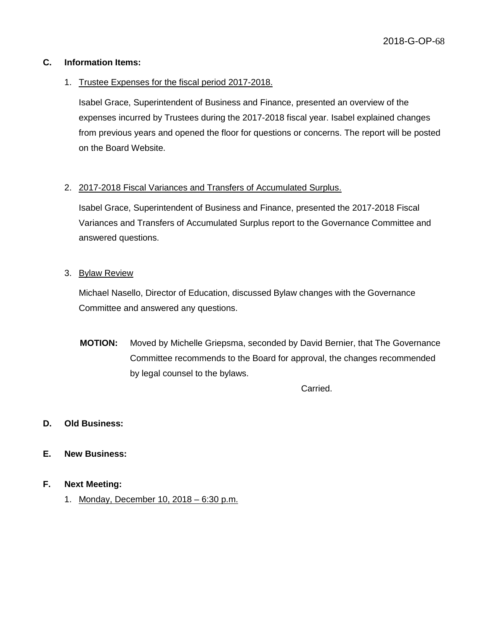### **C. Information Items:**

### 1. Trustee Expenses for the fiscal period 2017-2018.

Isabel Grace, Superintendent of Business and Finance, presented an overview of the expenses incurred by Trustees during the 2017-2018 fiscal year. Isabel explained changes from previous years and opened the floor for questions or concerns. The report will be posted on the Board Website.

### 2. 2017-2018 Fiscal Variances and Transfers of Accumulated Surplus.

Isabel Grace, Superintendent of Business and Finance, presented the 2017-2018 Fiscal Variances and Transfers of Accumulated Surplus report to the Governance Committee and answered questions.

### 3. Bylaw Review

Michael Nasello, Director of Education, discussed Bylaw changes with the Governance Committee and answered any questions.

**MOTION:** Moved by Michelle Griepsma, seconded by David Bernier, that The Governance Committee recommends to the Board for approval, the changes recommended by legal counsel to the bylaws.

Carried.

# **D. Old Business:**

#### **E. New Business:**

#### **F. Next Meeting:**

1. Monday, December 10, 2018 – 6:30 p.m.